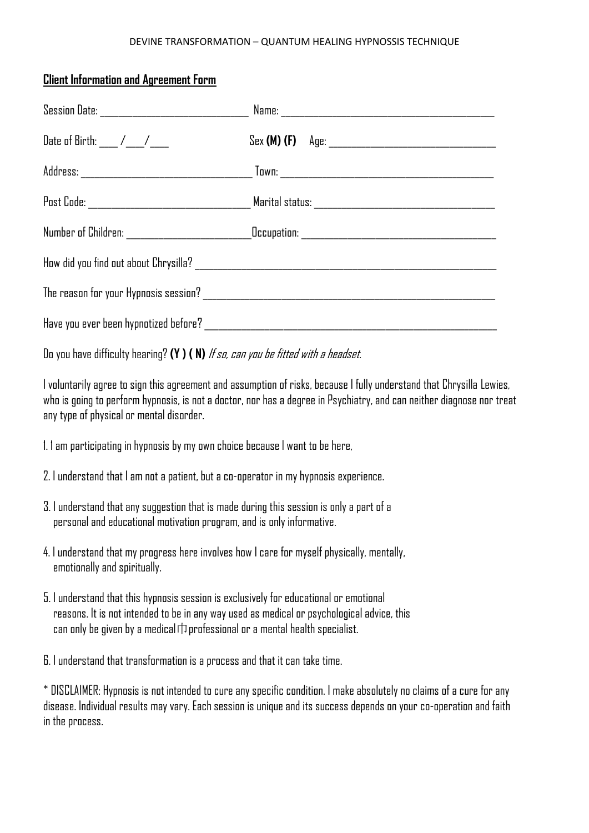## DEVINE TRANSFORMATION – QUANTUM HEALING HYPNOSSIS TECHNIQUE

## **Client Information and Agreement Form**

| Date of Birth: ___ /___/___ |  |
|-----------------------------|--|
|                             |  |
|                             |  |
|                             |  |
|                             |  |
|                             |  |
|                             |  |

Do you have difficulty hearing? **(Y ) ( N)** If so, can you be fitted with a headset.

I voluntarily agree to sign this agreement and assumption of risks, because I fully understand that Chrysilla Lewies, who is going to perform hypnosis, is not a doctor, nor has a degree in Psychiatry, and can neither diagnose nor treat any type of physical or mental disorder.

- 1. 1 am participating in hypnosis by my own choice because l want to be here,
- 2. I understand that I am not a patient, but a co-operator in my hypnosis experience.
- 3. I understand that any suggestion that is made during this session is only a part of a personal and educational motivation program, and is only informative.
- 4. Iunderstand that my progress here involves how I care for myself physically, mentally, emotionally and spiritually.
- 5. I understand that this hypnosis session is exclusively for educational or emotional reasons. It is not intended to be in any way used as medical or psychological advice, this can only be given by a medical**巾**professional or a mental health specialist.

6. I understand that transformation is a process and that it can take time.

\* DISCLAIMER: Hypnosis is not intended to cure any specific condition. I make absolutely no claims of a cure for any disease. Individual results may vary. Each session is unique and its success depends on your co-operation and faith in the process.